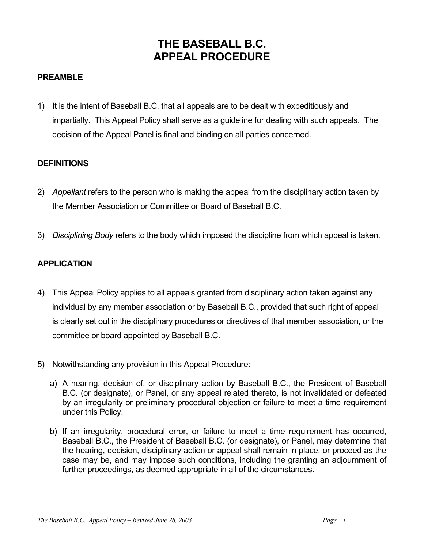# **THE BASEBALL B.C. APPEAL PROCEDURE**

## **PREAMBLE**

1) It is the intent of Baseball B.C. that all appeals are to be dealt with expeditiously and impartially. This Appeal Policy shall serve as a guideline for dealing with such appeals. The decision of the Appeal Panel is final and binding on all parties concerned.

#### **DEFINITIONS**

- 2) *Appellant* refers to the person who is making the appeal from the disciplinary action taken by the Member Association or Committee or Board of Baseball B.C.
- 3) *Disciplining Body* refers to the body which imposed the discipline from which appeal is taken.

## **APPLICATION**

- 4) This Appeal Policy applies to all appeals granted from disciplinary action taken against any individual by any member association or by Baseball B.C., provided that such right of appeal is clearly set out in the disciplinary procedures or directives of that member association, or the committee or board appointed by Baseball B.C.
- 5) Notwithstanding any provision in this Appeal Procedure:
	- a) A hearing, decision of, or disciplinary action by Baseball B.C., the President of Baseball B.C. (or designate), or Panel, or any appeal related thereto, is not invalidated or defeated by an irregularity or preliminary procedural objection or failure to meet a time requirement under this Policy.
	- b) If an irregularity, procedural error, or failure to meet a time requirement has occurred, Baseball B.C., the President of Baseball B.C. (or designate), or Panel, may determine that the hearing, decision, disciplinary action or appeal shall remain in place, or proceed as the case may be, and may impose such conditions, including the granting an adjournment of further proceedings, as deemed appropriate in all of the circumstances.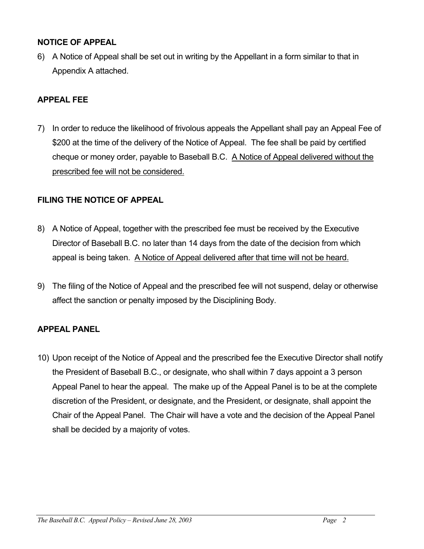### **NOTICE OF APPEAL**

6) A Notice of Appeal shall be set out in writing by the Appellant in a form similar to that in Appendix A attached.

## **APPEAL FEE**

7) In order to reduce the likelihood of frivolous appeals the Appellant shall pay an Appeal Fee of \$200 at the time of the delivery of the Notice of Appeal. The fee shall be paid by certified cheque or money order, payable to Baseball B.C. A Notice of Appeal delivered without the prescribed fee will not be considered.

## **FILING THE NOTICE OF APPEAL**

- 8) A Notice of Appeal, together with the prescribed fee must be received by the Executive Director of Baseball B.C. no later than 14 days from the date of the decision from which appeal is being taken. A Notice of Appeal delivered after that time will not be heard.
- 9) The filing of the Notice of Appeal and the prescribed fee will not suspend, delay or otherwise affect the sanction or penalty imposed by the Disciplining Body.

# **APPEAL PANEL**

10) Upon receipt of the Notice of Appeal and the prescribed fee the Executive Director shall notify the President of Baseball B.C., or designate, who shall within 7 days appoint a 3 person Appeal Panel to hear the appeal. The make up of the Appeal Panel is to be at the complete discretion of the President, or designate, and the President, or designate, shall appoint the Chair of the Appeal Panel. The Chair will have a vote and the decision of the Appeal Panel shall be decided by a majority of votes.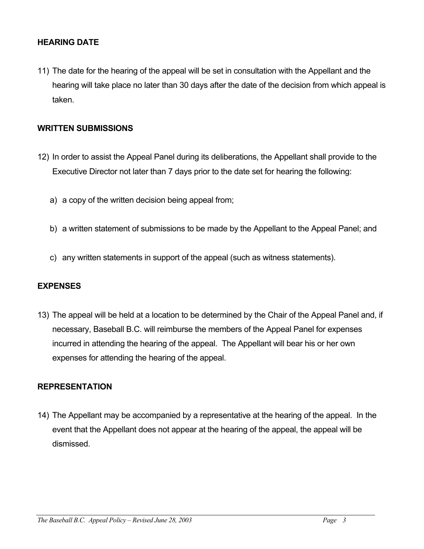## **HEARING DATE**

11) The date for the hearing of the appeal will be set in consultation with the Appellant and the hearing will take place no later than 30 days after the date of the decision from which appeal is taken.

#### **WRITTEN SUBMISSIONS**

- 12) In order to assist the Appeal Panel during its deliberations, the Appellant shall provide to the Executive Director not later than 7 days prior to the date set for hearing the following:
	- a) a copy of the written decision being appeal from;
	- b) a written statement of submissions to be made by the Appellant to the Appeal Panel; and
	- c) any written statements in support of the appeal (such as witness statements).

#### **EXPENSES**

13) The appeal will be held at a location to be determined by the Chair of the Appeal Panel and, if necessary, Baseball B.C. will reimburse the members of the Appeal Panel for expenses incurred in attending the hearing of the appeal. The Appellant will bear his or her own expenses for attending the hearing of the appeal.

#### **REPRESENTATION**

14) The Appellant may be accompanied by a representative at the hearing of the appeal. In the event that the Appellant does not appear at the hearing of the appeal, the appeal will be dismissed.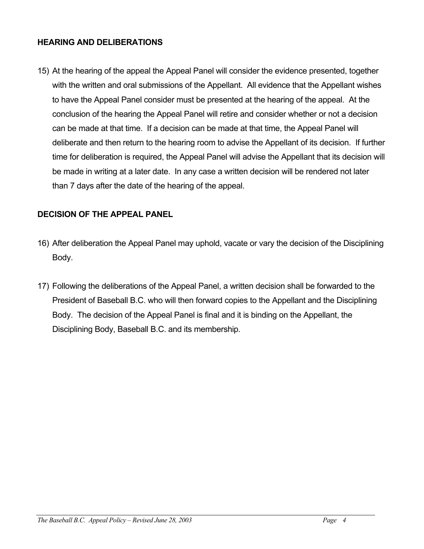## **HEARING AND DELIBERATIONS**

15) At the hearing of the appeal the Appeal Panel will consider the evidence presented, together with the written and oral submissions of the Appellant. All evidence that the Appellant wishes to have the Appeal Panel consider must be presented at the hearing of the appeal. At the conclusion of the hearing the Appeal Panel will retire and consider whether or not a decision can be made at that time. If a decision can be made at that time, the Appeal Panel will deliberate and then return to the hearing room to advise the Appellant of its decision. If further time for deliberation is required, the Appeal Panel will advise the Appellant that its decision will be made in writing at a later date. In any case a written decision will be rendered not later than 7 days after the date of the hearing of the appeal.

# **DECISION OF THE APPEAL PANEL**

- 16) After deliberation the Appeal Panel may uphold, vacate or vary the decision of the Disciplining Body.
- 17) Following the deliberations of the Appeal Panel, a written decision shall be forwarded to the President of Baseball B.C. who will then forward copies to the Appellant and the Disciplining Body. The decision of the Appeal Panel is final and it is binding on the Appellant, the Disciplining Body, Baseball B.C. and its membership.